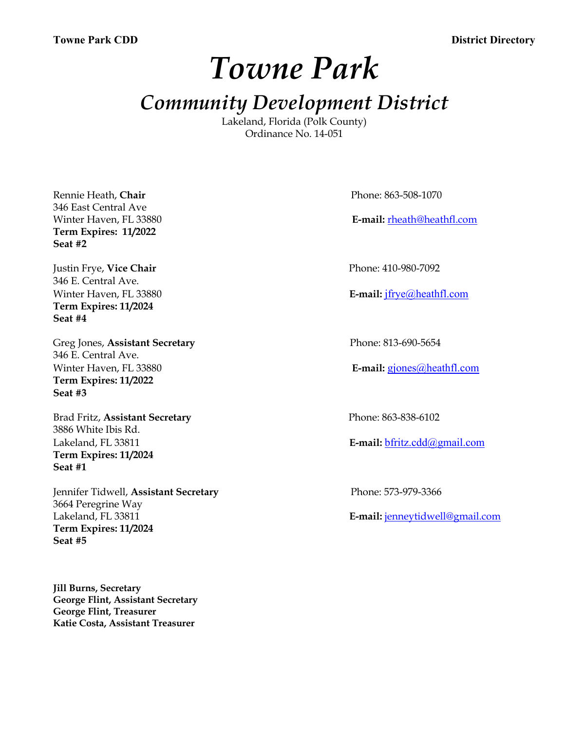*Towne Park*

# *Community Development District*

Lakeland, Florida (Polk County) Ordinance No. 14-051

Rennie Heath, **Chair** Phone: 863-508-1070 346 East Central Ave **Term Expires: 11/2022 Seat #2**

Justin Frye, Vice Chair **Phone: 410-980-7092** 346 E. Central Ave. **Term Expires: 11/2024 Seat #4**

Greg Jones, **Assistant Secretary** Phone: 813-690-5654 346 E. Central Ave. Winter Haven, FL 33880 **E-mail:** gjones@heathfl.com **Term Expires: 11/2022 Seat #3**

Brad Fritz, **Assistant Secretary** Phone: 863-838-6102 3886 White Ibis Rd. Lakeland, FL 33811 **E-mail:** bfritz.cdd@gmail.com **Term Expires: 11/2024 Seat #1**

Jennifer Tidwell, **Assistant Secretary** Phone: 573-979-3366 3664 Peregrine Way Lakeland, FL 33811 **E-mail:** jenneytidwell@gmail.com **Term Expires: 11/2024 Seat #5**

**Jill Burns, Secretary George Flint, Assistant Secretary George Flint, Treasurer Katie Costa, Assistant Treasurer**

Winter Haven, FL 33880 **E-mail:** rheath@heathfl.com

Winter Haven, FL 33880 **E-mail:** jfrye@heathfl.com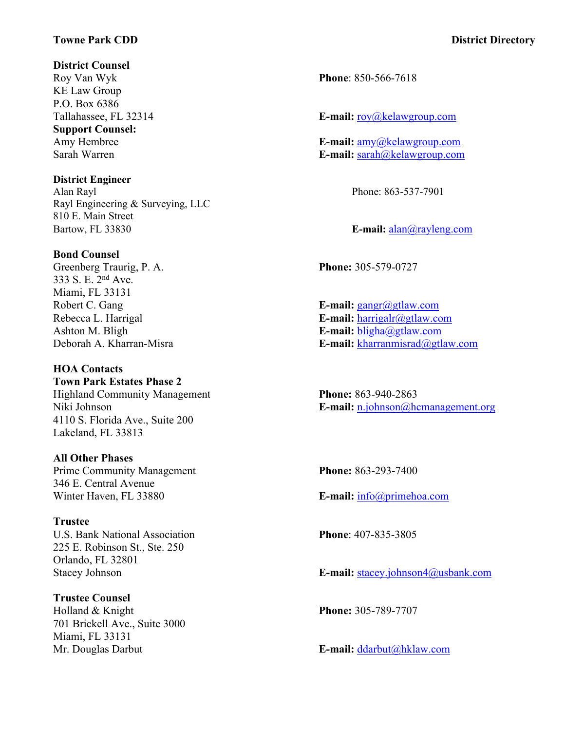#### **Towne Park CDD District Directory**

**District Counsel**

KE Law Group P.O. Box 6386 **Support Counsel:**

**District Engineer** Alan Rayl Phone: 863-537-7901 Rayl Engineering & Surveying, LLC 810 E. Main Street Bartow, FL 33830 **E-mail:**  $\frac{alan(\partial_l rayleng.com)}{l}$ 

#### **Bond Counsel**

Greenberg Traurig, P. A. **Phone:** 305-579-0727 333 S. E. 2nd Ave. Miami, FL 33131 Robert C. Gang **E**-mail: gangr@gtlaw.com

#### **HOA Contacts**

**Town Park Estates Phase 2** Highland Community Management **Phone:** 863-940-2863 4110 S. Florida Ave., Suite 200 Lakeland, FL 33813

#### **All Other Phases**

Prime Community Management **Phone:** 863-293-7400 346 E. Central Avenue Winter Haven, FL 33880 **E-mail:** info@primehoa.com

### **Trustee**

U.S. Bank National Association **Phone**: 407-835-3805 225 E. Robinson St., Ste. 250 Orlando, FL 32801

#### **Trustee Counsel**

Holland & Knight **Phone:** 305-789-7707 701 Brickell Ave., Suite 3000 Miami, FL 33131

Roy Van Wyk **Phone**: 850-566-7618

Tallahassee, FL 32314 **E-mail:** roy@kelawgroup.com

Amy Hembree **E-mail:**  $\frac{amy(\omega)$ kelawgroup.com Sarah Warren **E-mail:** sarah@kelawgroup.com

Rebecca L. Harrigal **E-mail:** harrigalr@gtlaw.com Ashton M. Bligh **E-mail:** bligha@gtlaw.com Deborah A. Kharran-Misra **E-mail:** kharranmisrad@gtlaw.com

Niki Johnson **E-mail:** n.johnson@hcmanagement.org

Stacey Johnson **E-mail:** stacey.johnson4@usbank.com

Mr. Douglas Darbut **E-mail:** ddarbut **E-mail:** ddarbut **E-mail:** ddarbut *E*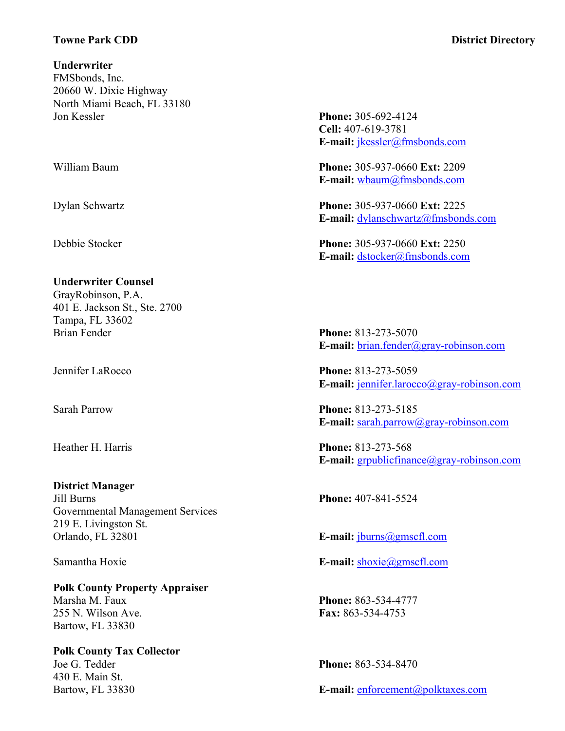#### **Towne Park CDD District Directory**

**Underwriter** FMSbonds, Inc. 20660 W. Dixie Highway North Miami Beach, FL 33180 Jon Kessler **Phone:** 305-692-4124

#### **Underwriter Counsel**

GrayRobinson, P.A. 401 E. Jackson St., Ste. 2700 Tampa, FL 33602 Brian Fender **Phone:** 813-273-5070

**District Manager** Jill Burns **Phone:** 407-841-5524 Governmental Management Services 219 E. Livingston St. Orlando, FL 32801 **E-mail:** jburns@gmscfl.com

**Polk County Property Appraiser** Marsha M. Faux **Phone:** 863-534-4777 255 N. Wilson Ave. **Fax:** 863-534-4753 Bartow, FL 33830

**Polk County Tax Collector** Joe G. Tedder **Phone:** 863-534-8470 430 E. Main St.

## **Cell:** 407-619-3781 **E-mail:** jkessler@fmsbonds.com

William Baum **Phone:** 305-937-0660 **Ext:** 2209 **E-mail:** wbaum@fmsbonds.com

Dylan Schwartz **Phone:** 305-937-0660 **Ext:** 2225 **E-mail:** dylanschwartz@fmsbonds.com

Debbie Stocker **Phone:** 305-937-0660 **Ext:** 2250 **E-mail:** dstocker@fmsbonds.com

**E-mail:** brian.fender@gray-robinson.com

Jennifer LaRocco **Phone:** 813-273-5059 **E-mail:** jennifer.larocco@gray-robinson.com

Sarah Parrow **Phone:** 813-273-5185 **E-mail:** sarah.parrow@gray-robinson.com

Heather H. Harris **Phone:** 813-273-568 **E-mail:** grpublicfinance@gray-robinson.com

Samantha Hoxie **E-mail:** shoxie@gmscfl.com

Bartow, FL 33830 **E-mail:** enforcement@polktaxes.com